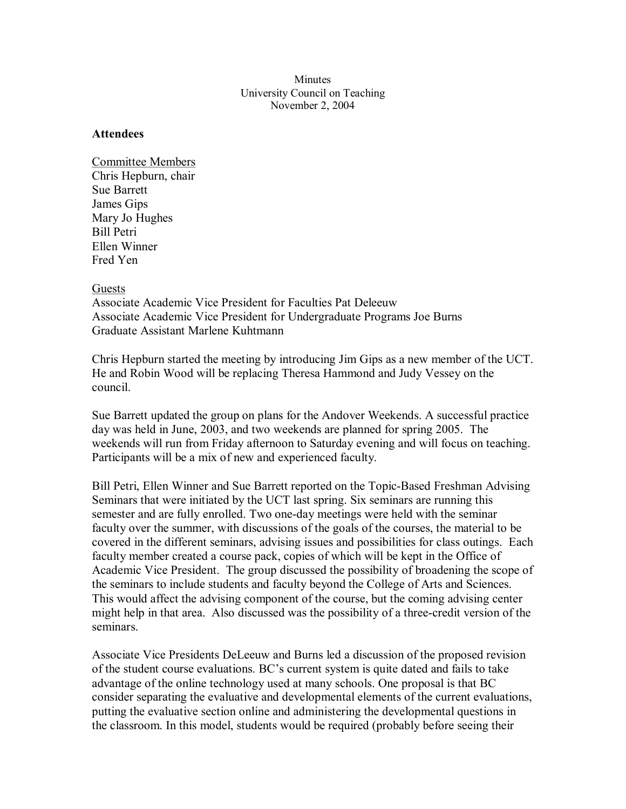## **Minutes** University Council on Teaching November 2, 2004

## **Attendees**

Committee Members Chris Hepburn, chair Sue Barrett James Gips Mary Jo Hughes Bill Petri Ellen Winner Fred Yen

## Guests

Associate Academic Vice President for Faculties Pat Deleeuw Associate Academic Vice President for Undergraduate Programs Joe Burns Graduate Assistant Marlene Kuhtmann

Chris Hepburn started the meeting by introducing Jim Gips as a new member of the UCT. He and Robin Wood will be replacing Theresa Hammond and Judy Vessey on the council.

Sue Barrett updated the group on plans for the Andover Weekends. A successful practice day was held in June, 2003, and two weekends are planned for spring 2005. The weekends will run from Friday afternoon to Saturday evening and will focus on teaching. Participants will be a mix of new and experienced faculty.

Bill Petri, Ellen Winner and Sue Barrett reported on the Topic-Based Freshman Advising Seminars that were initiated by the UCT last spring. Six seminars are running this semester and are fully enrolled. Two one-day meetings were held with the seminar faculty over the summer, with discussions of the goals of the courses, the material to be covered in the different seminars, advising issues and possibilities for class outings. Each faculty member created a course pack, copies of which will be kept in the Office of Academic Vice President. The group discussed the possibility of broadening the scope of the seminars to include students and faculty beyond the College of Arts and Sciences. This would affect the advising component of the course, but the coming advising center might help in that area. Also discussed was the possibility of a three-credit version of the seminars.

Associate Vice Presidents DeLeeuw and Burns led a discussion of the proposed revision of the student course evaluations. BC's current system is quite dated and fails to take advantage of the online technology used at many schools. One proposal is that BC consider separating the evaluative and developmental elements of the current evaluations, putting the evaluative section online and administering the developmental questions in the classroom. In this model, students would be required (probably before seeing their